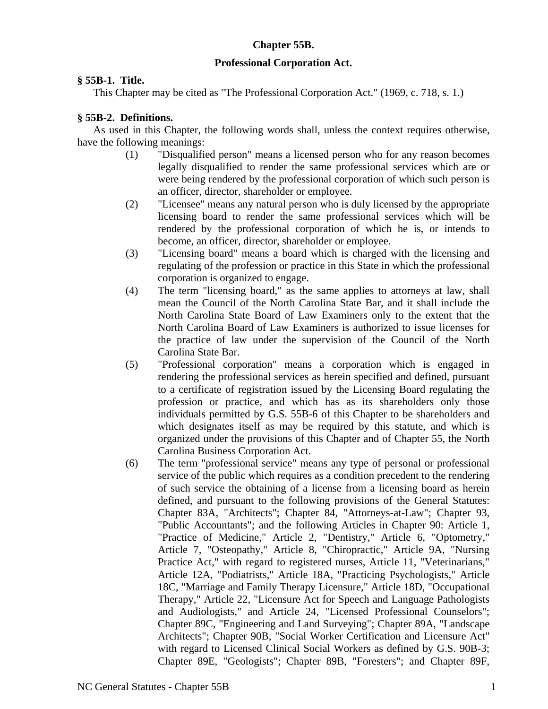# **Chapter 55B.**

## **Professional Corporation Act.**

## **§ 55B-1. Title.**

This Chapter may be cited as "The Professional Corporation Act." (1969, c. 718, s. 1.)

# **§ 55B-2. Definitions.**

As used in this Chapter, the following words shall, unless the context requires otherwise, have the following meanings:

- (1) "Disqualified person" means a licensed person who for any reason becomes legally disqualified to render the same professional services which are or were being rendered by the professional corporation of which such person is an officer, director, shareholder or employee.
- (2) "Licensee" means any natural person who is duly licensed by the appropriate licensing board to render the same professional services which will be rendered by the professional corporation of which he is, or intends to become, an officer, director, shareholder or employee.
- (3) "Licensing board" means a board which is charged with the licensing and regulating of the profession or practice in this State in which the professional corporation is organized to engage.
- (4) The term "licensing board," as the same applies to attorneys at law, shall mean the Council of the North Carolina State Bar, and it shall include the North Carolina State Board of Law Examiners only to the extent that the North Carolina Board of Law Examiners is authorized to issue licenses for the practice of law under the supervision of the Council of the North Carolina State Bar.
- (5) "Professional corporation" means a corporation which is engaged in rendering the professional services as herein specified and defined, pursuant to a certificate of registration issued by the Licensing Board regulating the profession or practice, and which has as its shareholders only those individuals permitted by G.S. 55B-6 of this Chapter to be shareholders and which designates itself as may be required by this statute, and which is organized under the provisions of this Chapter and of Chapter 55, the North Carolina Business Corporation Act.
- (6) The term "professional service" means any type of personal or professional service of the public which requires as a condition precedent to the rendering of such service the obtaining of a license from a licensing board as herein defined, and pursuant to the following provisions of the General Statutes: Chapter 83A, "Architects"; Chapter 84, "Attorneys-at-Law"; Chapter 93, "Public Accountants"; and the following Articles in Chapter 90: Article 1, "Practice of Medicine," Article 2, "Dentistry," Article 6, "Optometry," Article 7, "Osteopathy," Article 8, "Chiropractic," Article 9A, "Nursing Practice Act," with regard to registered nurses, Article 11, "Veterinarians," Article 12A, "Podiatrists," Article 18A, "Practicing Psychologists," Article 18C, "Marriage and Family Therapy Licensure," Article 18D, "Occupational Therapy," Article 22, "Licensure Act for Speech and Language Pathologists and Audiologists," and Article 24, "Licensed Professional Counselors"; Chapter 89C, "Engineering and Land Surveying"; Chapter 89A, "Landscape Architects"; Chapter 90B, "Social Worker Certification and Licensure Act" with regard to Licensed Clinical Social Workers as defined by G.S. 90B-3; Chapter 89E, "Geologists"; Chapter 89B, "Foresters"; and Chapter 89F,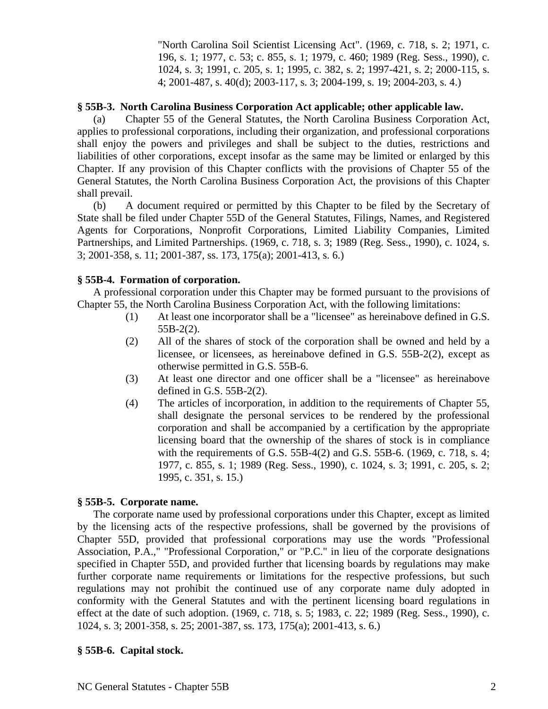"North Carolina Soil Scientist Licensing Act". (1969, c. 718, s. 2; 1971, c. 196, s. 1; 1977, c. 53; c. 855, s. 1; 1979, c. 460; 1989 (Reg. Sess., 1990), c. 1024, s. 3; 1991, c. 205, s. 1; 1995, c. 382, s. 2; 1997-421, s. 2; 2000-115, s. 4; 2001-487, s. 40(d); 2003-117, s. 3; 2004-199, s. 19; 2004-203, s. 4.)

## **§ 55B-3. North Carolina Business Corporation Act applicable; other applicable law.**

(a) Chapter 55 of the General Statutes, the North Carolina Business Corporation Act, applies to professional corporations, including their organization, and professional corporations shall enjoy the powers and privileges and shall be subject to the duties, restrictions and liabilities of other corporations, except insofar as the same may be limited or enlarged by this Chapter. If any provision of this Chapter conflicts with the provisions of Chapter 55 of the General Statutes, the North Carolina Business Corporation Act, the provisions of this Chapter shall prevail.

(b) A document required or permitted by this Chapter to be filed by the Secretary of State shall be filed under Chapter 55D of the General Statutes, Filings, Names, and Registered Agents for Corporations, Nonprofit Corporations, Limited Liability Companies, Limited Partnerships, and Limited Partnerships. (1969, c. 718, s. 3; 1989 (Reg. Sess., 1990), c. 1024, s. 3; 2001-358, s. 11; 2001-387, ss. 173, 175(a); 2001-413, s. 6.)

#### **§ 55B-4. Formation of corporation.**

A professional corporation under this Chapter may be formed pursuant to the provisions of Chapter 55, the North Carolina Business Corporation Act, with the following limitations:

- (1) At least one incorporator shall be a "licensee" as hereinabove defined in G.S. 55B-2(2).
- (2) All of the shares of stock of the corporation shall be owned and held by a licensee, or licensees, as hereinabove defined in G.S. 55B-2(2), except as otherwise permitted in G.S. 55B-6.
- (3) At least one director and one officer shall be a "licensee" as hereinabove defined in G.S. 55B-2(2).
- (4) The articles of incorporation, in addition to the requirements of Chapter 55, shall designate the personal services to be rendered by the professional corporation and shall be accompanied by a certification by the appropriate licensing board that the ownership of the shares of stock is in compliance with the requirements of G.S. 55B-4(2) and G.S. 55B-6. (1969, c. 718, s. 4; 1977, c. 855, s. 1; 1989 (Reg. Sess., 1990), c. 1024, s. 3; 1991, c. 205, s. 2; 1995, c. 351, s. 15.)

#### **§ 55B-5. Corporate name.**

The corporate name used by professional corporations under this Chapter, except as limited by the licensing acts of the respective professions, shall be governed by the provisions of Chapter 55D, provided that professional corporations may use the words "Professional Association, P.A.," "Professional Corporation," or "P.C." in lieu of the corporate designations specified in Chapter 55D, and provided further that licensing boards by regulations may make further corporate name requirements or limitations for the respective professions, but such regulations may not prohibit the continued use of any corporate name duly adopted in conformity with the General Statutes and with the pertinent licensing board regulations in effect at the date of such adoption. (1969, c. 718, s. 5; 1983, c. 22; 1989 (Reg. Sess., 1990), c. 1024, s. 3; 2001-358, s. 25; 2001-387, ss. 173, 175(a); 2001-413, s. 6.)

## **§ 55B-6. Capital stock.**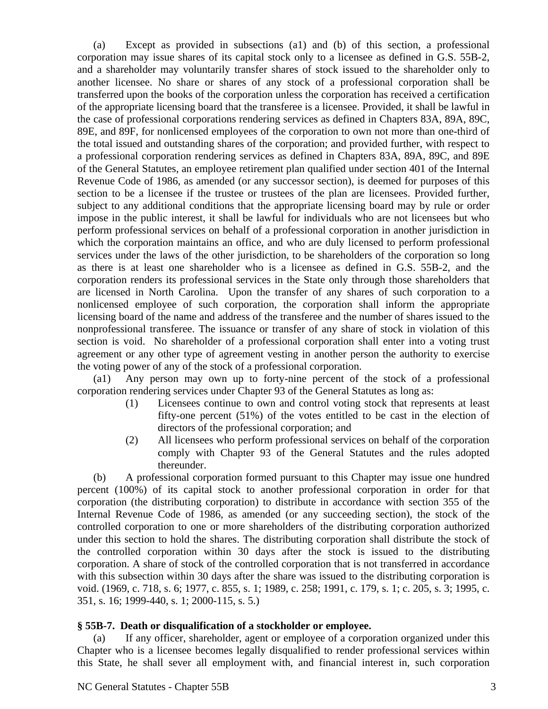(a) Except as provided in subsections (a1) and (b) of this section, a professional corporation may issue shares of its capital stock only to a licensee as defined in G.S. 55B-2, and a shareholder may voluntarily transfer shares of stock issued to the shareholder only to another licensee. No share or shares of any stock of a professional corporation shall be transferred upon the books of the corporation unless the corporation has received a certification of the appropriate licensing board that the transferee is a licensee. Provided, it shall be lawful in the case of professional corporations rendering services as defined in Chapters 83A, 89A, 89C, 89E, and 89F, for nonlicensed employees of the corporation to own not more than one-third of the total issued and outstanding shares of the corporation; and provided further, with respect to a professional corporation rendering services as defined in Chapters 83A, 89A, 89C, and 89E of the General Statutes, an employee retirement plan qualified under section 401 of the Internal Revenue Code of 1986, as amended (or any successor section), is deemed for purposes of this section to be a licensee if the trustee or trustees of the plan are licensees. Provided further, subject to any additional conditions that the appropriate licensing board may by rule or order impose in the public interest, it shall be lawful for individuals who are not licensees but who perform professional services on behalf of a professional corporation in another jurisdiction in which the corporation maintains an office, and who are duly licensed to perform professional services under the laws of the other jurisdiction, to be shareholders of the corporation so long as there is at least one shareholder who is a licensee as defined in G.S. 55B-2, and the corporation renders its professional services in the State only through those shareholders that are licensed in North Carolina. Upon the transfer of any shares of such corporation to a nonlicensed employee of such corporation, the corporation shall inform the appropriate licensing board of the name and address of the transferee and the number of shares issued to the nonprofessional transferee. The issuance or transfer of any share of stock in violation of this section is void. No shareholder of a professional corporation shall enter into a voting trust agreement or any other type of agreement vesting in another person the authority to exercise the voting power of any of the stock of a professional corporation.

(a1) Any person may own up to forty-nine percent of the stock of a professional corporation rendering services under Chapter 93 of the General Statutes as long as:

- (1) Licensees continue to own and control voting stock that represents at least fifty-one percent (51%) of the votes entitled to be cast in the election of directors of the professional corporation; and
- (2) All licensees who perform professional services on behalf of the corporation comply with Chapter 93 of the General Statutes and the rules adopted thereunder.

(b) A professional corporation formed pursuant to this Chapter may issue one hundred percent (100%) of its capital stock to another professional corporation in order for that corporation (the distributing corporation) to distribute in accordance with section 355 of the Internal Revenue Code of 1986, as amended (or any succeeding section), the stock of the controlled corporation to one or more shareholders of the distributing corporation authorized under this section to hold the shares. The distributing corporation shall distribute the stock of the controlled corporation within 30 days after the stock is issued to the distributing corporation. A share of stock of the controlled corporation that is not transferred in accordance with this subsection within 30 days after the share was issued to the distributing corporation is void. (1969, c. 718, s. 6; 1977, c. 855, s. 1; 1989, c. 258; 1991, c. 179, s. 1; c. 205, s. 3; 1995, c. 351, s. 16; 1999-440, s. 1; 2000-115, s. 5.)

## **§ 55B-7. Death or disqualification of a stockholder or employee.**

(a) If any officer, shareholder, agent or employee of a corporation organized under this Chapter who is a licensee becomes legally disqualified to render professional services within this State, he shall sever all employment with, and financial interest in, such corporation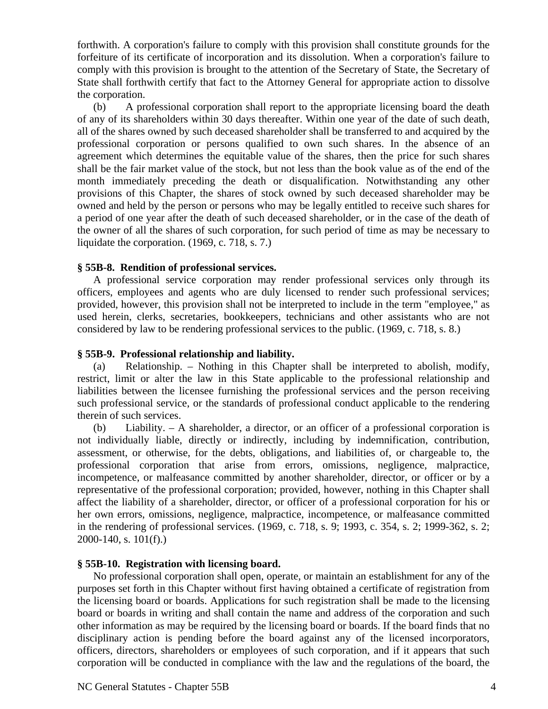forthwith. A corporation's failure to comply with this provision shall constitute grounds for the forfeiture of its certificate of incorporation and its dissolution. When a corporation's failure to comply with this provision is brought to the attention of the Secretary of State, the Secretary of State shall forthwith certify that fact to the Attorney General for appropriate action to dissolve the corporation.

(b) A professional corporation shall report to the appropriate licensing board the death of any of its shareholders within 30 days thereafter. Within one year of the date of such death, all of the shares owned by such deceased shareholder shall be transferred to and acquired by the professional corporation or persons qualified to own such shares. In the absence of an agreement which determines the equitable value of the shares, then the price for such shares shall be the fair market value of the stock, but not less than the book value as of the end of the month immediately preceding the death or disqualification. Notwithstanding any other provisions of this Chapter, the shares of stock owned by such deceased shareholder may be owned and held by the person or persons who may be legally entitled to receive such shares for a period of one year after the death of such deceased shareholder, or in the case of the death of the owner of all the shares of such corporation, for such period of time as may be necessary to liquidate the corporation. (1969, c. 718, s. 7.)

#### **§ 55B-8. Rendition of professional services.**

A professional service corporation may render professional services only through its officers, employees and agents who are duly licensed to render such professional services; provided, however, this provision shall not be interpreted to include in the term "employee," as used herein, clerks, secretaries, bookkeepers, technicians and other assistants who are not considered by law to be rendering professional services to the public. (1969, c. 718, s. 8.)

#### **§ 55B-9. Professional relationship and liability.**

(a) Relationship. – Nothing in this Chapter shall be interpreted to abolish, modify, restrict, limit or alter the law in this State applicable to the professional relationship and liabilities between the licensee furnishing the professional services and the person receiving such professional service, or the standards of professional conduct applicable to the rendering therein of such services.

(b) Liability. – A shareholder, a director, or an officer of a professional corporation is not individually liable, directly or indirectly, including by indemnification, contribution, assessment, or otherwise, for the debts, obligations, and liabilities of, or chargeable to, the professional corporation that arise from errors, omissions, negligence, malpractice, incompetence, or malfeasance committed by another shareholder, director, or officer or by a representative of the professional corporation; provided, however, nothing in this Chapter shall affect the liability of a shareholder, director, or officer of a professional corporation for his or her own errors, omissions, negligence, malpractice, incompetence, or malfeasance committed in the rendering of professional services. (1969, c. 718, s. 9; 1993, c. 354, s. 2; 1999-362, s. 2; 2000-140, s. 101(f).)

## **§ 55B-10. Registration with licensing board.**

No professional corporation shall open, operate, or maintain an establishment for any of the purposes set forth in this Chapter without first having obtained a certificate of registration from the licensing board or boards. Applications for such registration shall be made to the licensing board or boards in writing and shall contain the name and address of the corporation and such other information as may be required by the licensing board or boards. If the board finds that no disciplinary action is pending before the board against any of the licensed incorporators, officers, directors, shareholders or employees of such corporation, and if it appears that such corporation will be conducted in compliance with the law and the regulations of the board, the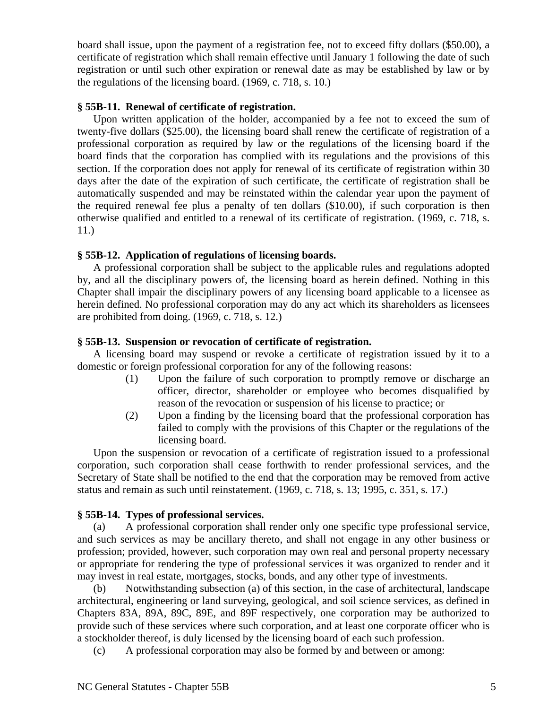board shall issue, upon the payment of a registration fee, not to exceed fifty dollars (\$50.00), a certificate of registration which shall remain effective until January 1 following the date of such registration or until such other expiration or renewal date as may be established by law or by the regulations of the licensing board. (1969, c. 718, s. 10.)

#### **§ 55B-11. Renewal of certificate of registration.**

Upon written application of the holder, accompanied by a fee not to exceed the sum of twenty-five dollars (\$25.00), the licensing board shall renew the certificate of registration of a professional corporation as required by law or the regulations of the licensing board if the board finds that the corporation has complied with its regulations and the provisions of this section. If the corporation does not apply for renewal of its certificate of registration within 30 days after the date of the expiration of such certificate, the certificate of registration shall be automatically suspended and may be reinstated within the calendar year upon the payment of the required renewal fee plus a penalty of ten dollars (\$10.00), if such corporation is then otherwise qualified and entitled to a renewal of its certificate of registration. (1969, c. 718, s. 11.)

## **§ 55B-12. Application of regulations of licensing boards.**

A professional corporation shall be subject to the applicable rules and regulations adopted by, and all the disciplinary powers of, the licensing board as herein defined. Nothing in this Chapter shall impair the disciplinary powers of any licensing board applicable to a licensee as herein defined. No professional corporation may do any act which its shareholders as licensees are prohibited from doing. (1969, c. 718, s. 12.)

#### **§ 55B-13. Suspension or revocation of certificate of registration.**

A licensing board may suspend or revoke a certificate of registration issued by it to a domestic or foreign professional corporation for any of the following reasons:

- (1) Upon the failure of such corporation to promptly remove or discharge an officer, director, shareholder or employee who becomes disqualified by reason of the revocation or suspension of his license to practice; or
- (2) Upon a finding by the licensing board that the professional corporation has failed to comply with the provisions of this Chapter or the regulations of the licensing board.

Upon the suspension or revocation of a certificate of registration issued to a professional corporation, such corporation shall cease forthwith to render professional services, and the Secretary of State shall be notified to the end that the corporation may be removed from active status and remain as such until reinstatement. (1969, c. 718, s. 13; 1995, c. 351, s. 17.)

## **§ 55B-14. Types of professional services.**

(a) A professional corporation shall render only one specific type professional service, and such services as may be ancillary thereto, and shall not engage in any other business or profession; provided, however, such corporation may own real and personal property necessary or appropriate for rendering the type of professional services it was organized to render and it may invest in real estate, mortgages, stocks, bonds, and any other type of investments.

(b) Notwithstanding subsection (a) of this section, in the case of architectural, landscape architectural, engineering or land surveying, geological, and soil science services, as defined in Chapters 83A, 89A, 89C, 89E, and 89F respectively, one corporation may be authorized to provide such of these services where such corporation, and at least one corporate officer who is a stockholder thereof, is duly licensed by the licensing board of each such profession.

(c) A professional corporation may also be formed by and between or among: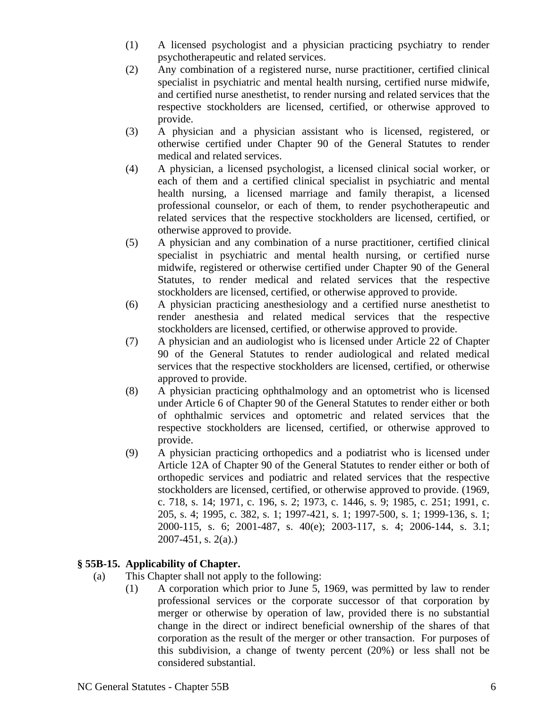- (1) A licensed psychologist and a physician practicing psychiatry to render psychotherapeutic and related services.
- (2) Any combination of a registered nurse, nurse practitioner, certified clinical specialist in psychiatric and mental health nursing, certified nurse midwife, and certified nurse anesthetist, to render nursing and related services that the respective stockholders are licensed, certified, or otherwise approved to provide.
- (3) A physician and a physician assistant who is licensed, registered, or otherwise certified under Chapter 90 of the General Statutes to render medical and related services.
- (4) A physician, a licensed psychologist, a licensed clinical social worker, or each of them and a certified clinical specialist in psychiatric and mental health nursing, a licensed marriage and family therapist, a licensed professional counselor, or each of them, to render psychotherapeutic and related services that the respective stockholders are licensed, certified, or otherwise approved to provide.
- (5) A physician and any combination of a nurse practitioner, certified clinical specialist in psychiatric and mental health nursing, or certified nurse midwife, registered or otherwise certified under Chapter 90 of the General Statutes, to render medical and related services that the respective stockholders are licensed, certified, or otherwise approved to provide.
- (6) A physician practicing anesthesiology and a certified nurse anesthetist to render anesthesia and related medical services that the respective stockholders are licensed, certified, or otherwise approved to provide.
- (7) A physician and an audiologist who is licensed under Article 22 of Chapter 90 of the General Statutes to render audiological and related medical services that the respective stockholders are licensed, certified, or otherwise approved to provide.
- (8) A physician practicing ophthalmology and an optometrist who is licensed under Article 6 of Chapter 90 of the General Statutes to render either or both of ophthalmic services and optometric and related services that the respective stockholders are licensed, certified, or otherwise approved to provide.
- (9) A physician practicing orthopedics and a podiatrist who is licensed under Article 12A of Chapter 90 of the General Statutes to render either or both of orthopedic services and podiatric and related services that the respective stockholders are licensed, certified, or otherwise approved to provide. (1969, c. 718, s. 14; 1971, c. 196, s. 2; 1973, c. 1446, s. 9; 1985, c. 251; 1991, c. 205, s. 4; 1995, c. 382, s. 1; 1997-421, s. 1; 1997-500, s. 1; 1999-136, s. 1; 2000-115, s. 6; 2001-487, s. 40(e); 2003-117, s. 4; 2006-144, s. 3.1; 2007-451, s. 2(a).)

# **§ 55B-15. Applicability of Chapter.**

- (a) This Chapter shall not apply to the following:
	- (1) A corporation which prior to June 5, 1969, was permitted by law to render professional services or the corporate successor of that corporation by merger or otherwise by operation of law, provided there is no substantial change in the direct or indirect beneficial ownership of the shares of that corporation as the result of the merger or other transaction. For purposes of this subdivision, a change of twenty percent (20%) or less shall not be considered substantial.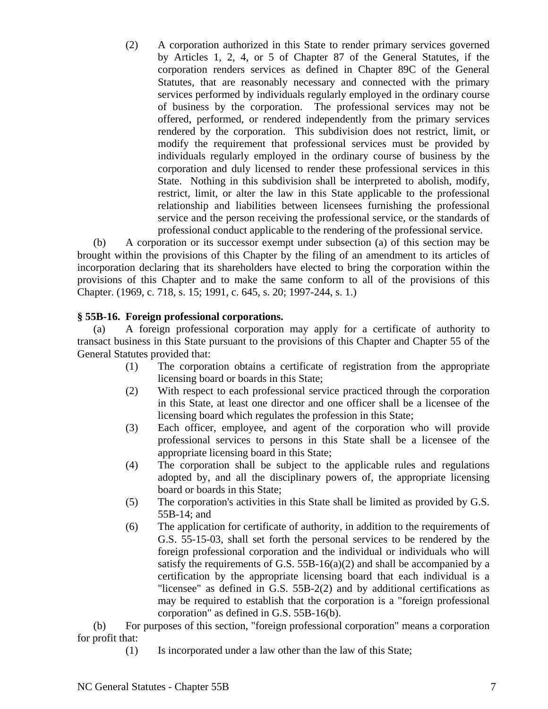(2) A corporation authorized in this State to render primary services governed by Articles 1, 2, 4, or 5 of Chapter 87 of the General Statutes, if the corporation renders services as defined in Chapter 89C of the General Statutes, that are reasonably necessary and connected with the primary services performed by individuals regularly employed in the ordinary course of business by the corporation. The professional services may not be offered, performed, or rendered independently from the primary services rendered by the corporation. This subdivision does not restrict, limit, or modify the requirement that professional services must be provided by individuals regularly employed in the ordinary course of business by the corporation and duly licensed to render these professional services in this State. Nothing in this subdivision shall be interpreted to abolish, modify, restrict, limit, or alter the law in this State applicable to the professional relationship and liabilities between licensees furnishing the professional service and the person receiving the professional service, or the standards of professional conduct applicable to the rendering of the professional service.

(b) A corporation or its successor exempt under subsection (a) of this section may be brought within the provisions of this Chapter by the filing of an amendment to its articles of incorporation declaring that its shareholders have elected to bring the corporation within the provisions of this Chapter and to make the same conform to all of the provisions of this Chapter. (1969, c. 718, s. 15; 1991, c. 645, s. 20; 1997-244, s. 1.)

## **§ 55B-16. Foreign professional corporations.**

(a) A foreign professional corporation may apply for a certificate of authority to transact business in this State pursuant to the provisions of this Chapter and Chapter 55 of the General Statutes provided that:

- (1) The corporation obtains a certificate of registration from the appropriate licensing board or boards in this State;
- (2) With respect to each professional service practiced through the corporation in this State, at least one director and one officer shall be a licensee of the licensing board which regulates the profession in this State;
- (3) Each officer, employee, and agent of the corporation who will provide professional services to persons in this State shall be a licensee of the appropriate licensing board in this State;
- (4) The corporation shall be subject to the applicable rules and regulations adopted by, and all the disciplinary powers of, the appropriate licensing board or boards in this State;
- (5) The corporation's activities in this State shall be limited as provided by G.S. 55B-14; and
- (6) The application for certificate of authority, in addition to the requirements of G.S. 55-15-03, shall set forth the personal services to be rendered by the foreign professional corporation and the individual or individuals who will satisfy the requirements of G.S.  $55B-16(a)(2)$  and shall be accompanied by a certification by the appropriate licensing board that each individual is a "licensee" as defined in G.S. 55B-2(2) and by additional certifications as may be required to establish that the corporation is a "foreign professional corporation" as defined in G.S. 55B-16(b).

(b) For purposes of this section, "foreign professional corporation" means a corporation for profit that:

(1) Is incorporated under a law other than the law of this State;